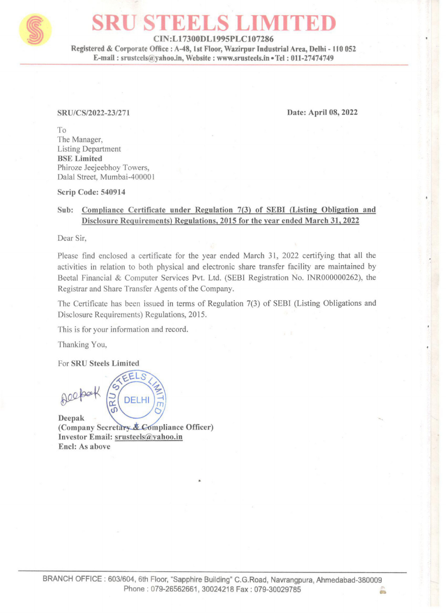

# SRU STEELS LIMITED

CIN:L17300DL1995PLC107286

Registered & Corporate Office : A-48, Ist Floor, Wazirpur Industrial Area, Delhi - 110 052 E-mail : srusteels@yahoo.in, Website : www.srusteels.in » Tel : 011-27474749

SRU/CS/2022-23/271 Date: April 08, 2022

To The Manager, Listing Department BSE Limited Phiroze Jeejeebhoy Towers, Dalal Street, Mumbai-400001

Scrip Code: 540914

## Sub: Compliance Certificate under Regulation 7(3) of SEBI (Listing Obligation and Disclosure Requirements) Regulations, 2015 for the year ended March 31, 2022

Dear Sir,

Please find enclosed a certificate for the year ended March 31, 2022 certifying that all the activities in relation to both physical and electronic share transfer facility are maintained by Beetal Financial & Computer Services Pvt. Ltd. (SEBI Registration No. INR000000262), the Registrar and Share Transfer Agents of the Company. Serip Code: 540914<br>
Sub: Complinate Certificate under Regulations, 2015 for the vear ended March 31, 2022<br>
Dear Sir,<br>
Blease find enclosed a certificate for the year ended March 31, 2022 certifying that all the<br>
activitie

The Certificate has been issued in terms of Regulation 7(3) of SEBI (Listing Obligations and Disclosure Requirements) Regulations, 2015.

This is for your information and record.

Thanking You,

For SRU Steels Limited

GRU DEL

(Company Secretary & Compliance Officer) Investor Email: srusteels@yahoo.in Encl: As above